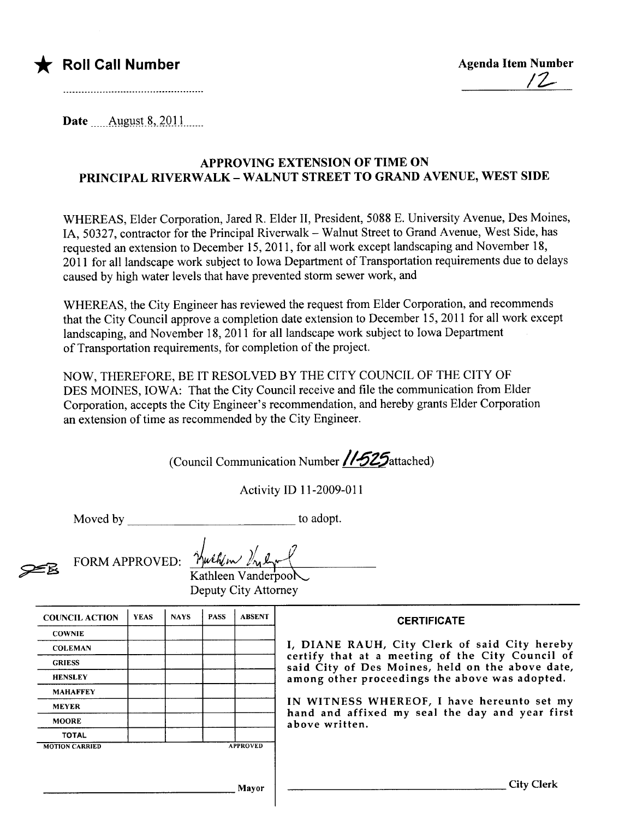

\* Roll Call Number Agenda Item Number Agenda Item Number 12-

Date  $\_\_\_\_\_\_\_\_\_\_\_\_\_\_8, 2011$ 

## APPROVING EXTENSION OF TIME ON PRINCIPAL RIVERWALK - WALNUT STREET TO GRAND AVENUE, WEST SIDE

WHEREAS, Elder Corporation, Jared R. Elder II, President, 5088 E. University Avenue, Des Moines, lA, 50327, contractor for the Principal Riverwalk - Walnut Street to Grand Avenue, West Side, has requested an extension to December 15,2011, for all work except landscaping and November 18, 2011 for all landscape work subject to Iowa Department of Transportation requirements due to delays caused by high water levels that have prevented storm sewer work, and

WHEREAS, the City Engineer has reviewed the request from Elder Corporation, and recommends that the City Council approve a completion date extension to December 15, 2011 for all work except landscaping, and November 18,2011 for all landscape work subject to Iowa Department of Transportation requirements, for completion of the project.

NOW, THEREFORE, BE IT RESOLVED BY THE CITY COUNCIL OF THE CITY OF DES MOINES, IOWA: That the City Council receive and fie the communication from Elder Corporation, accepts the City Engineer's recommendation, and hereby grants Elder Corporation an extension of time as recommended by the City Engineer.

(Council Communication Number /1-525 attached)

Activity ID 11-2009-011

Moved by to adopt.

 $\mathbf{r}$ 

 $~$  FORM APPROVED:

| 4.4.51 |  |
|--------|--|
|        |  |

Kathleen Vanderpool Deputy City Attorney

| <b>COUNCIL ACTION</b> | <b>YEAS</b> | <b>NAYS</b> | <b>PASS</b> | <b>ABSENT</b>                                                     | <b>CERTIFICATE</b>                                                                                                                                                                                      |  |  |
|-----------------------|-------------|-------------|-------------|-------------------------------------------------------------------|---------------------------------------------------------------------------------------------------------------------------------------------------------------------------------------------------------|--|--|
| <b>COWNIE</b>         |             |             |             |                                                                   |                                                                                                                                                                                                         |  |  |
| <b>COLEMAN</b>        |             |             |             |                                                                   | I, DIANE RAUH, City Clerk of said City hereby<br>certify that at a meeting of the City Council of<br>said City of Des Moines, held on the above date,<br>among other proceedings the above was adopted. |  |  |
| <b>GRIESS</b>         |             |             |             |                                                                   |                                                                                                                                                                                                         |  |  |
| <b>HENSLEY</b>        |             |             |             |                                                                   |                                                                                                                                                                                                         |  |  |
| <b>MAHAFFEY</b>       |             |             |             |                                                                   |                                                                                                                                                                                                         |  |  |
| <b>MEYER</b>          |             |             |             |                                                                   | IN WITNESS WHEREOF, I have hereunto set my                                                                                                                                                              |  |  |
| <b>MOORE</b>          |             |             |             | hand and affixed my seal the day and year first<br>above written. |                                                                                                                                                                                                         |  |  |
| <b>TOTAL</b>          |             |             |             |                                                                   |                                                                                                                                                                                                         |  |  |
| <b>MOTION CARRIED</b> |             |             |             | <b>APPROVED</b>                                                   |                                                                                                                                                                                                         |  |  |
|                       |             |             |             |                                                                   |                                                                                                                                                                                                         |  |  |
|                       |             |             |             |                                                                   |                                                                                                                                                                                                         |  |  |